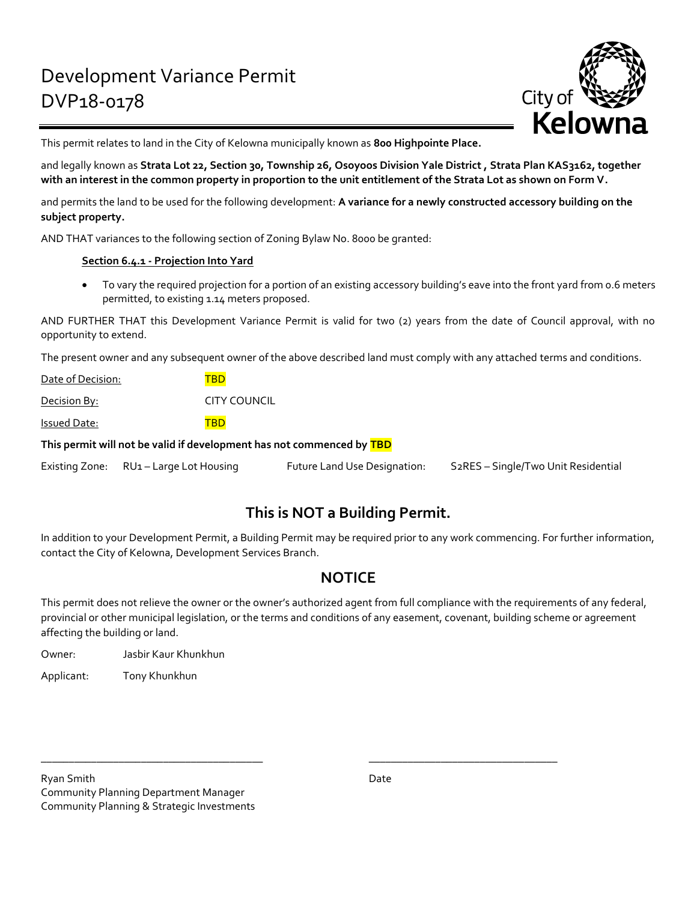

This permit relates to land in the City of Kelowna municipally known as **800 Highpointe Place.**

and legally known as **Strata Lot 22, Section 30, Township 26, Osoyoos Division Yale District , Strata Plan KAS3162, together with an interest in the common property in proportion to the unit entitlement of the Strata Lot as shown on Form V.**

and permits the land to be used for the following development: **A variance for a newly constructed accessory building on the subject property.**

AND THAT variances to the following section of Zoning Bylaw No. 8000 be granted:

### **Section 6.4.1 - Projection Into Yard**

 To vary the required projection for a portion of an existing accessory building's eave into the front yard from 0.6 meters permitted, to existing 1.14 meters proposed.

AND FURTHER THAT this Development Variance Permit is valid for two (2) years from the date of Council approval, with no opportunity to extend.

The present owner and any subsequent owner of the above described land must comply with any attached terms and conditions.

| Date of Decision: |              |
|-------------------|--------------|
| Decision By:      | CITY COUNCIL |
| Issued Date:      | TRD          |

**This permit will not be valid if development has not commenced by TBD**

Existing Zone: RU1 – Large Lot Housing Future Land Use Designation: S2RES – Single/Two Unit Residential

# **This is NOT a Building Permit.**

In addition to your Development Permit, a Building Permit may be required prior to any work commencing. For further information, contact the City of Kelowna, Development Services Branch.

# **NOTICE**

This permit does not relieve the owner or the owner's authorized agent from full compliance with the requirements of any federal, provincial or other municipal legislation, or the terms and conditions of any easement, covenant, building scheme or agreement affecting the building or land.

\_\_\_\_\_\_\_\_\_\_\_\_\_\_\_\_\_\_\_\_\_\_\_\_\_\_\_\_\_\_\_\_\_\_\_\_\_\_\_\_ \_\_\_\_\_\_\_\_\_\_\_\_\_\_\_\_\_\_\_\_\_\_\_\_\_\_\_\_\_\_\_\_\_\_

Owner: Jasbir Kaur Khunkhun

Applicant: Tony Khunkhun

Ryan Smith Date **Date** Community Planning Department Manager Community Planning & Strategic Investments